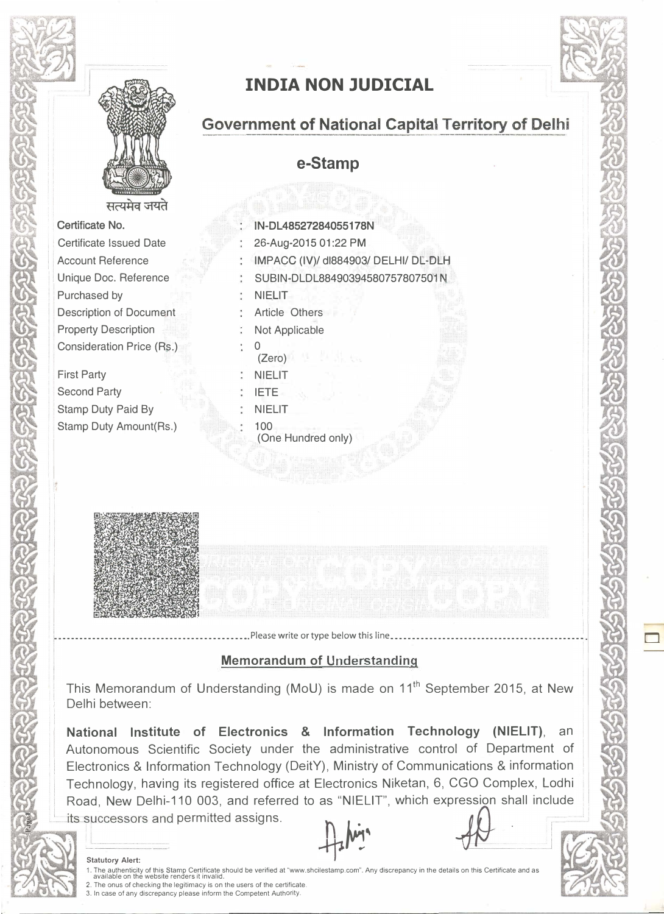

सत्यमेव जयते

Certificate No. Certificate Issued Date Account Reference Unique Doc. Reference Purchased by Description of Document Property Description Consideration Price (Rs.)

First Party Second Party Stamp Duty Paid By Stamp Duty Amount(Rs.)



# INDIA NON JUDICIAL

## **Government of National Capital Territory of Delhi**

e-Stamp

| IN-DL48527284055178N                 |
|--------------------------------------|
| 26-Aug-2015 01:22 PM                 |
| IMPACC (IV)/ dl884903/ DELHI/ DL-DLH |
| SUBIN-DLDL88490394580757807501N      |
| <b>NIELIT</b>                        |
| <b>Article Others</b>                |
| Not Applicable                       |
| (Zero)                               |
| <b>NIELIT</b>                        |
| <b>IETE</b>                          |
| <b>NIELIT</b>                        |
| 100<br>(One Hundred only)            |
|                                      |

## Memorandum of Understanding

•••••••••••••••••••••••••••••••••••••••••••. Please write or type below this line •••••••••••••••••••••••••••••••••••••••••••• ,

This Memorandum of Understanding (MoU) is made on 11<sup>th</sup> September 2015, at New Delhi between:

National Institute of Electronics & Information Technology (NIELIT), an Autonomous Scientific Society under the administrative control of Department of Electronics & Information Technology (DeitY), Ministry of Communications & information Technology, having its registered office at Electronics Niketan, 6, CGO Complex, Lodhi Road, New Delhi-110 003, and referred to as "NIELIT", which expression shall include its successors and permitted assigns.  $h$  .  $\frac{1}{\sqrt{2}}$ 

Statutory Alert: ..rr 1. The authenticity of this Stamp Certificate should be verified at "www.shcilestamp.com". Any discrepancy in the details on this Certificate and as<br>\_available on the website renders it invalid.<br>2. The onus of checking the

- 
- 3. In case of any discrepancy please inform the Competent Authority.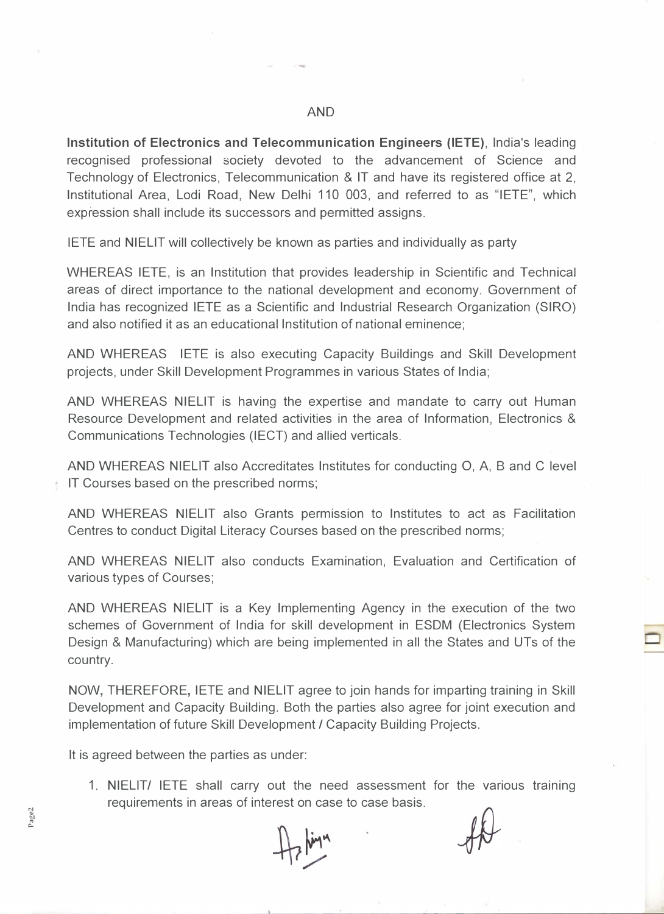Institution of Electronics and Telecommunication Engineers (IETE), India's leading recognised professional society devoted to the advancement of Science and Technology of Electronics, Telecommunication & IT and have its registered office at 2, Institutional Area, Lodi Road, New Delhi 110 003, and referred to as "IETE", which expression shall include its successors and permitted assigns.

IETE and NIELIT will collectively be known as parties and individually as party

WHEREAS IETE, is an Institution that provides leadership in Scientific and Technical areas of direct importance to the national development and economy. Government of India has recognized IETE as a Scientific and Industrial Research Organization (SIRO) and also notified it as an educational Institution of national eminence;

AND WHEREAS IETE is also executing Capacity Buildings and Skill Development projects, under Skill Development Programmes in various States of India;

AND WHEREAS NIELIT is having the expertise and mandate to carry out Human Resource Development and related activities in the area of Information, Electronics & Communications Technologies (IECT) and allied verticals.

AND WHEREAS NIELIT also Accreditates Institutes for conducting 0, A, B and C level IT Courses based on the prescribed norms;

AND WHEREAS NIELIT also Grants permission to Institutes to act as Facilitation Centres to conduct Digital Literacy Courses based on the prescribed norms;

AND WHEREAS NIELIT also conducts Examination, Evaluation and Certification of various types of Courses;

AND WHEREAS NIELIT is a Key Implementing Agency in the execution of the two schemes of Government of India for skill development in ESDM (Electronics System Design & Manufacturing) which are being implemented in all the States and UTs of the country.

NOW, THEREFORE, IETE and NIELIT agree to join hands for imparting training in Skill Development and Capacity Building. Both the parties also agree for joint execution and implementation of future Skill Development / Capacity Building Projects.

It is agreed between the parties as under:

1. NIELIT/ IETE shall carry out the need assessment for the various training requirements in areas of interest on case to case basis.

Page2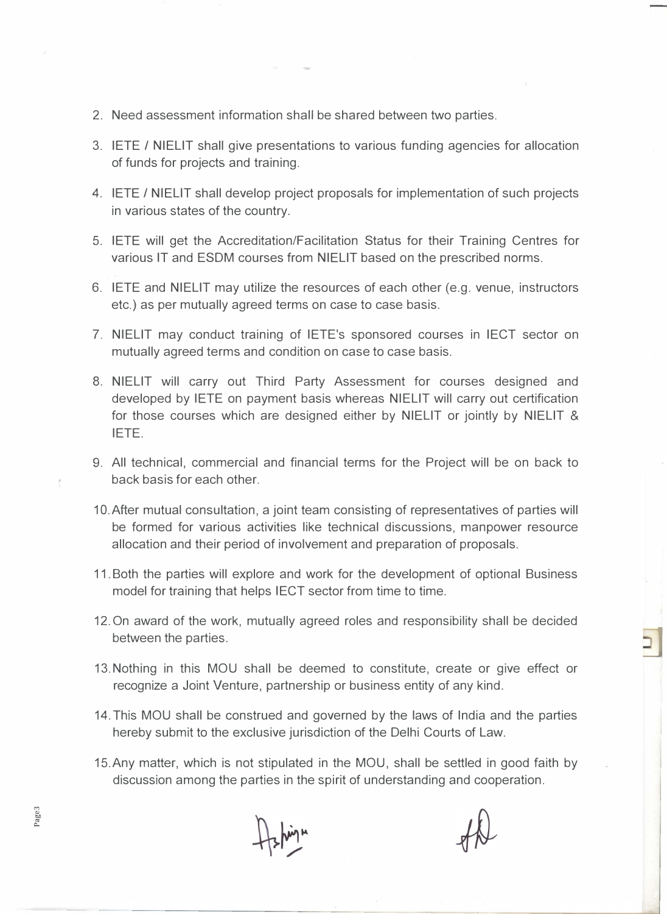- 2. Need assessment information shall be shared between two parties.
- 3. IETE / NIELIT shall give presentations to various funding agencies for allocation of funds for projects and training.
- 4. IETE / NIELIT shall develop project proposals for implementation of such projects in various states of the country.
- 5. IETE will get the Accreditation/Facilitation Status for their Training Centres for various IT and ESDM courses from NIELIT based on the prescribed norms.
- 6. IETE and NIELIT may utilize the resources of each other (e.g. venue, instructors etc.) as per mutually agreed terms on case to case basis.
- 7. NIELIT may conduct training of IETE's sponsored courses in IECT sector on mutually agreed terms and condition on case to case basis.
- 8. NIELIT will carry out Third Party Assessment for courses designed and developed by IETE on payment basis whereas NIELIT will carry out certification for those courses which are designed either by NIELIT or jointly by NIELIT & IETE.
- 9. All technical, commercial and financial terms for the Project will be on back to back basis for each other.
- 10. After mutual consultation, a joint team consisting of representatives of parties will be formed for various activities like technical discussions, manpower resource allocation and their period of involvement and preparation of proposals.
- 11. Both the parties will explore and work for the development of optional Business model for training that helps IECT sector from time to time.
- 12. On award of the work, mutually agreed roles and responsibility shall be decided between the parties.
- 13. Nothing in this MOU shall be deemed to constitute, create or give effect or recognize a Joint Venture, partnership or business entity of any kind.
- 14. This MOU shall be construed and governed by the laws of India and the parties hereby submit to the exclusive jurisdiction of the Delhi Courts of Law.
- 15.Any matter, which is not stipulated in the MOU, shall be settled in good faith by discussion among the parties in the spirit of understanding and cooperation.

Page<sub>3</sub>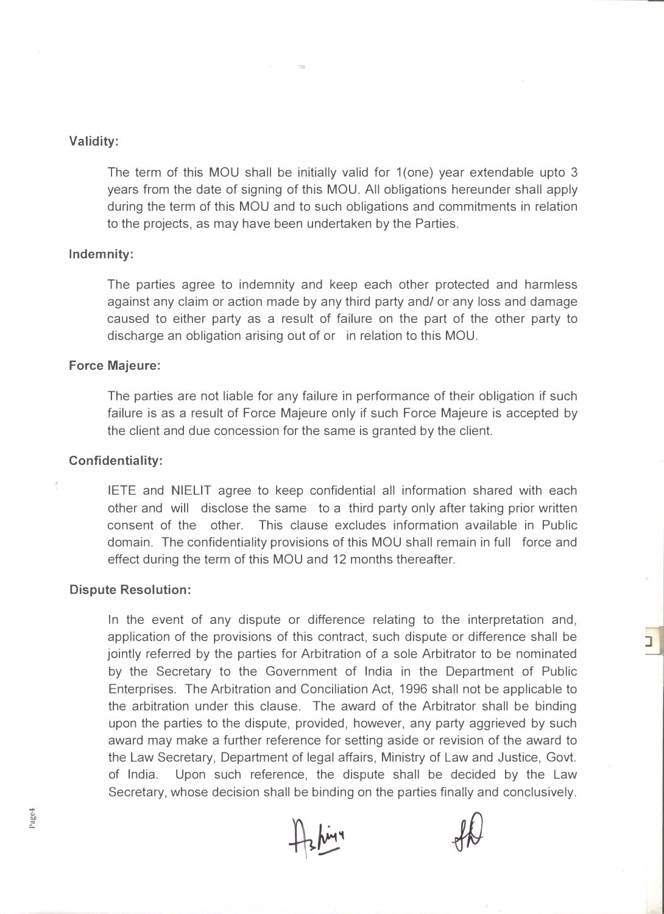### Validity:

The term of this MOU shall be initially valid for 1(one) year extendable upto 3 years from the date of signing of this MOU. All obligations hereunder shall apply during the term of this MOU and to such obligations and commitments in relation to the projects, as may have been undertaken by the Parties.

#### Indemnity:

The parties agree to indemnity and keep each other protected and harmless against any claim or action made by any third party and/ or any loss and damage caused to either party as a result of failure on the part of the other party to discharge an obligation arising out of or in relation to this MOU.

#### Force Majeure:

The parties are not liable for any failure in performance of their obligation if such failure is as a result of Force Majeure only if such Force Majeure is accepted by the client and due concession for the same is granted by the client.

#### Confidentiality:

IETE and NIELIT agree to keep confidential all information shared with each other and will disclose the same to a third party only after taking prior written consent of the other. This clause excludes information available in Public domain. The confidentiality provisions of this MOU shall remain in full force and effect during the term of this MOU and 12 months thereafter.

#### Dispute Resolution:

In the event of any dispute or difference relating to the interpretation and, application of the provisions of this contract, such dispute or difference shall be jointly referred by the parties for Arbitration of a sole Arbitrator to be nominated by the Secretary to the Government of India in the Department of Public Enterprises. The Arbitration and Conciliation Act, 1996 shall not be applicable to the arbitration under this clause. The award of the Arbitrator shall be binding upon the parties to the dispute, provided, however, any party aggrieved by such award may make a further reference for setting aside or revision of the award to the Law Secretary, Department of legal affairs, Ministry of Law and Justice, Govt. of India. Upon such reference, the dispute shall be decided by the Law Secretary, whose decision shall be binding on the parties finally and conclusively.

Page4